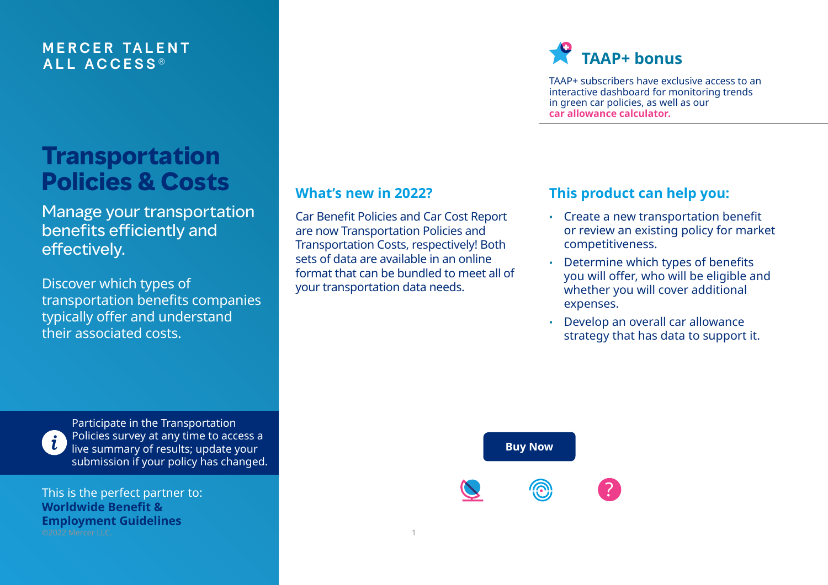## **M E RCER TA L E N T ALL A C C E S S ®**

# **Transportation Policies & Costs**

Manage your transportation benefits efficiently and effectively.

Discover which types of transportation benefits companies typically offer and understand their associated costs.

## **What's new in 2022?**

Car Benefit Policies and Car Cost Report are now Transportation Policies and Transportation Costs, respectively! Both sets of data are available in an online format that can be bundled to meet all of your transportation data needs.

# **TAAP+ bonus**

TAAP+ subscribers have exclusive access to an interactive dashboard for monitoring trends in green car policies, as well as our **[car allowance calculator.](https://taap.mercer.com/Portals/0/content/Resource/GIF/calc-ccr.gif)**

## **This product can help you:**

- Create a new transportation benefit or review an existing policy for market competitiveness.
- Determine which types of benefits you will offer, who will be eligible and whether you will cover additional expenses.
- Develop an overall car allowance strategy that has data to support it.



Participate in the Transportation Policies survey at any time to access a live summary of results; update your submission if your policy has changed.

This is the perfect partner to: **[Worldwide Benefit &](https://www.imercer.com/products/wbeg)  [Employment Guidelines](https://www.imercer.com/products/wbeg)** ©2022 Mercer LLC. 1

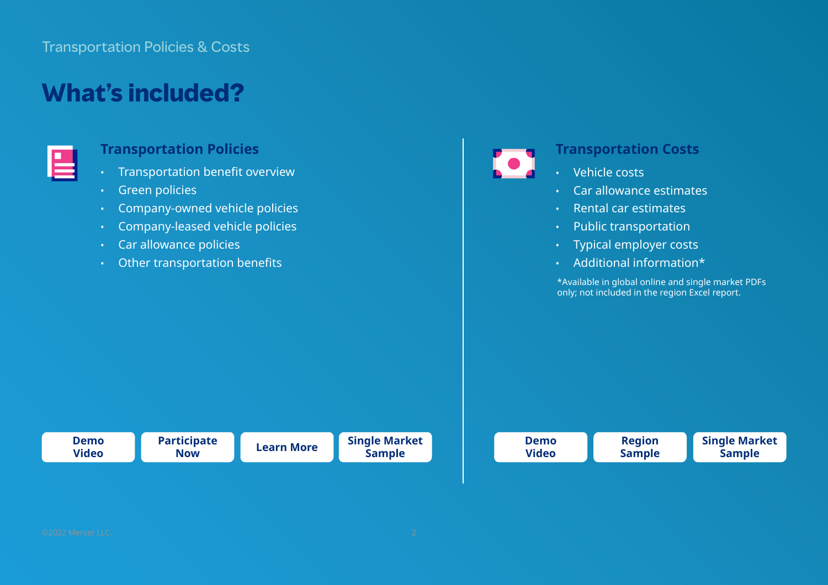## Transportation Policies & Costs

# **What's included?**

### **Transportation Policies**

- Transportation benefit overview
- Green policies
- Company-owned vehicle policies
- Company-leased vehicle policies
- Car allowance policies
- Other transportation benefits



### **Transportation Costs**

- Vehicle costs
- Car allowance estimates
- Rental car estimates
- Public transportation
- Typical employer costs
- Additional information\*

\*Available in global online and single market PDFs only; not included in the region Excel report.

| <b>Demo</b> | <b>Participate</b> | <b>Learn More</b> | <b>Single Market</b> |
|-------------|--------------------|-------------------|----------------------|
| Video       | <b>Now</b>         |                   | <b>Sample</b>        |

| <b>Demo</b>  | <b>Region</b> | <b>Single Market</b> |
|--------------|---------------|----------------------|
| <b>Video</b> | <b>Sample</b> | <b>Sample</b>        |
|              |               |                      |